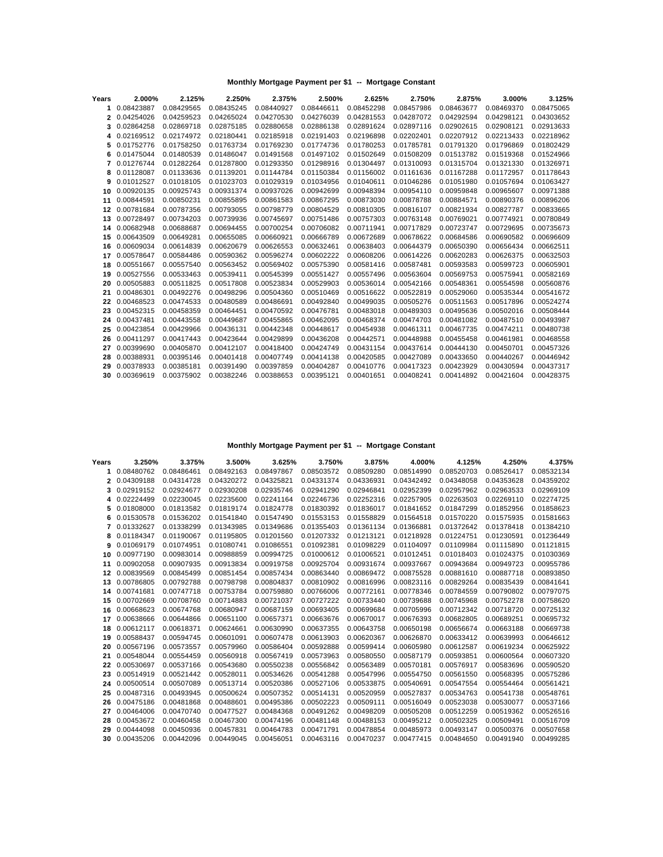| Years | 2.000%     | 2.125%     | 2.250%     | 2.375%     | 2.500%     | 2.625%     | 2.750%     | 2.875%     | 3.000%     | 3.125%     |
|-------|------------|------------|------------|------------|------------|------------|------------|------------|------------|------------|
| 1     | 0.08423887 | 0.08429565 | 0.08435245 | 0.08440927 | 0.08446611 | 0.08452298 | 0.08457986 | 0.08463677 | 0.08469370 | 0.08475065 |
| 2     | 0.04254026 | 0.04259523 | 0.04265024 | 0.04270530 | 0.04276039 | 0.04281553 | 0.04287072 | 0.04292594 | 0.04298121 | 0.04303652 |
| 3     | 0.02864258 | 0.02869718 | 0.02875185 | 0.02880658 | 0.02886138 | 0.02891624 | 0.02897116 | 0.02902615 | 0.02908121 | 0.02913633 |
| 4     | 0.02169512 | 0.02174972 | 0.02180441 | 0.02185918 | 0.02191403 | 0.02196898 | 0.02202401 | 0.02207912 | 0.02213433 | 0.02218962 |
| 5     | 0.01752776 | 0.01758250 | 0.01763734 | 0.01769230 | 0.01774736 | 0.01780253 | 0.01785781 | 0.01791320 | 0.01796869 | 0.01802429 |
| 6     | 0.01475044 | 0.01480539 | 0.01486047 | 0.01491568 | 0.01497102 | 0.01502649 | 0.01508209 | 0.01513782 | 0.01519368 | 0.01524966 |
|       | 0.01276744 | 0.01282264 | 0.01287800 | 0.01293350 | 0.01298916 | 0.01304497 | 0.01310093 | 0.01315704 | 0.01321330 | 0.01326971 |
| 8     | 0.01128087 | 0.01133636 | 0.01139201 | 0.01144784 | 0.01150384 | 0.01156002 | 0.01161636 | 0.01167288 | 0.01172957 | 0.01178643 |
| 9     | 0.01012527 | 0.01018105 | 0.01023703 | 0.01029319 | 0.01034956 | 0.01040611 | 0.01046286 | 0.01051980 | 0.01057694 | 0.01063427 |
| 10    | 0.00920135 | 0.00925743 | 0.00931374 | 0.00937026 | 0.00942699 | 0.00948394 | 0.00954110 | 0.00959848 | 0.00965607 | 0.00971388 |
| 11    | 0.00844591 | 0.00850231 | 0.00855895 | 0.00861583 | 0.00867295 | 0.00873030 | 0.00878788 | 0.00884571 | 0.00890376 | 0.00896206 |
| 12    | 0.00781684 | 0.00787356 | 0.00793055 | 0.00798779 | 0.00804529 | 0.00810305 | 0.00816107 | 0.00821934 | 0.00827787 | 0.00833665 |
| 13    | 0.00728497 | 0.00734203 | 0.00739936 | 0.00745697 | 0.00751486 | 0.00757303 | 0.00763148 | 0.00769021 | 0.00774921 | 0.00780849 |
| 14    | 0.00682948 | 0.00688687 | 0.00694455 | 0.00700254 | 0.00706082 | 0.00711941 | 0.00717829 | 0.00723747 | 0.00729695 | 0.00735673 |
| 15    | 0.00643509 | 0.00649281 | 0.00655085 | 0.00660921 | 0.00666789 | 0.00672689 | 0.00678622 | 0.00684586 | 0.00690582 | 0.00696609 |
| 16    | 0.00609034 | 0.00614839 | 0.00620679 | 0.00626553 | 0.00632461 | 0.00638403 | 0.00644379 | 0.00650390 | 0.00656434 | 0.00662511 |
| 17    | 0.00578647 | 0.00584486 | 0.00590362 | 0.00596274 | 0.00602222 | 0.00608206 | 0.00614226 | 0.00620283 | 0.00626375 | 0.00632503 |
| 18    | 0.00551667 | 0.00557540 | 0.00563452 | 0.00569402 | 0.00575390 | 0.00581416 | 0.00587481 | 0.00593583 | 0.00599723 | 0.00605901 |
| 19    | 0.00527556 | 0.00533463 | 0.00539411 | 0.00545399 | 0.00551427 | 0.00557496 | 0.00563604 | 0.00569753 | 0.00575941 | 0.00582169 |
| 20    | 0.00505883 | 0.00511825 | 0.00517808 | 0.00523834 | 0.00529903 | 0.00536014 | 0.00542166 | 0.00548361 | 0.00554598 | 0.00560876 |
| 21    | 0.00486301 | 0.00492276 | 0.00498296 | 0.00504360 | 0.00510469 | 0.00516622 | 0.00522819 | 0.00529060 | 0.00535344 | 0.00541672 |
| 22    | 0.00468523 | 0.00474533 | 0.00480589 | 0.00486691 | 0.00492840 | 0.00499035 | 0.00505276 | 0.00511563 | 0.00517896 | 0.00524274 |
| 23    | 0.00452315 | 0.00458359 | 0.00464451 | 0.00470592 | 0.00476781 | 0.00483018 | 0.00489303 | 0.00495636 | 0.00502016 | 0.00508444 |
| 24    | 0.00437481 | 0.00443558 | 0.00449687 | 0.00455865 | 0.00462095 | 0.00468374 | 0.00474703 | 0.00481082 | 0.00487510 | 0.00493987 |
| 25    | 0.00423854 | 0.00429966 | 0.00436131 | 0.00442348 | 0.00448617 | 0.00454938 | 0.00461311 | 0.00467735 | 0.00474211 | 0.00480738 |
| 26    | 0.00411297 | 0.00417443 | 0.00423644 | 0.00429899 | 0.00436208 | 0.00442571 | 0.00448988 | 0.00455458 | 0.00461981 | 0.00468558 |
| 27    | 0.00399690 | 0.00405870 | 0.00412107 | 0.00418400 | 0.00424749 | 0.00431154 | 0.00437614 | 0.00444130 | 0.00450701 | 0.00457326 |
| 28    | 0.00388931 | 0.00395146 | 0.00401418 | 0.00407749 | 0.00414138 | 0.00420585 | 0.00427089 | 0.00433650 | 0.00440267 | 0.00446942 |
| 29    | 0.00378933 | 0.00385181 | 0.00391490 | 0.00397859 | 0.00404287 | 0.00410776 | 0.00417323 | 0.00423929 | 0.00430594 | 0.00437317 |
| 30.   | 0.00369619 | 0.00375902 | 0.00382246 | 0.00388653 | 0.00395121 | 0.00401651 | 0.00408241 | 0.00414892 | 0.00421604 | 0.00428375 |
|       |            |            |            |            |            |            |            |            |            |            |

| Years   | 3.250%        | 3.375%     | 3.500%     | 3.625%     | 3.750%     | 3.875%     | 4.000%     | 4.125%     | 4.250%     | 4.375%     |
|---------|---------------|------------|------------|------------|------------|------------|------------|------------|------------|------------|
| 1       | 0.08480762    | 0.08486461 | 0.08492163 | 0.08497867 | 0.08503572 | 0.08509280 | 0.08514990 | 0.08520703 | 0.08526417 | 0.08532134 |
|         | 2 0.04309188  | 0.04314728 | 0.04320272 | 0.04325821 | 0.04331374 | 0.04336931 | 0.04342492 | 0.04348058 | 0.04353628 | 0.04359202 |
| 3       | 0.02919152    | 0.02924677 | 0.02930208 | 0.02935746 | 0.02941290 | 0.02946841 | 0.02952399 | 0.02957962 | 0.02963533 | 0.02969109 |
| 4       | 0.02224499    | 0.02230045 | 0.02235600 | 0.02241164 | 0.02246736 | 0.02252316 | 0.02257905 | 0.02263503 | 0.02269110 | 0.02274725 |
| 5       | 0.01808000    | 0.01813582 | 0.01819174 | 0.01824778 | 0.01830392 | 0.01836017 | 0.01841652 | 0.01847299 | 0.01852956 | 0.01858623 |
| 6       | 0.01530578    | 0.01536202 | 0.01541840 | 0.01547490 | 0.01553153 | 0.01558829 | 0.01564518 | 0.01570220 | 0.01575935 | 0.01581663 |
| 7       | 0.01332627    | 0.01338299 | 0.01343985 | 0.01349686 | 0.01355403 | 0.01361134 | 0.01366881 | 0.01372642 | 0.01378418 | 0.01384210 |
| 8       | 0.01184347    | 0.01190067 | 0.01195805 | 0.01201560 | 0.01207332 | 0.01213121 | 0.01218928 | 0.01224751 | 0.01230591 | 0.01236449 |
|         | 9 0.01069179  | 0.01074951 | 0.01080741 | 0.01086551 | 0.01092381 | 0.01098229 | 0.01104097 | 0.01109984 | 0.01115890 | 0.01121815 |
| 10      | 0.00977190    | 0.00983014 | 0.00988859 | 0.00994725 | 0.01000612 | 0.01006521 | 0.01012451 | 0.01018403 | 0.01024375 | 0.01030369 |
| 11      | 0.00902058    | 0.00907935 | 0.00913834 | 0.00919758 | 0.00925704 | 0.00931674 | 0.00937667 | 0.00943684 | 0.00949723 | 0.00955786 |
| $12 \,$ | 0.00839569    | 0.00845499 | 0.00851454 | 0.00857434 | 0.00863440 | 0.00869472 | 0.00875528 | 0.00881610 | 0.00887718 | 0.00893850 |
| 13      | 0.00786805    | 0.00792788 | 0.00798798 | 0.00804837 | 0.00810902 | 0.00816996 | 0.00823116 | 0.00829264 | 0.00835439 | 0.00841641 |
| 14      | 0.00741681    | 0.00747718 | 0.00753784 | 0.00759880 | 0.00766006 | 0.00772161 | 0.00778346 | 0.00784559 | 0.00790802 | 0.00797075 |
| 15      | 0.00702669    | 0.00708760 | 0.00714883 | 0.00721037 | 0.00727222 | 0.00733440 | 0.00739688 | 0.00745968 | 0.00752278 | 0.00758620 |
| 16      | 0.00668623    | 0.00674768 | 0.00680947 | 0.00687159 | 0.00693405 | 0.00699684 | 0.00705996 | 0.00712342 | 0.00718720 | 0.00725132 |
| 17      | 0.00638666    | 0.00644866 | 0.00651100 | 0.00657371 | 0.00663676 | 0.00670017 | 0.00676393 | 0.00682805 | 0.00689251 | 0.00695732 |
| 18      | 0.00612117    | 0.00618371 | 0.00624661 | 0.00630990 | 0.00637355 | 0.00643758 | 0.00650198 | 0.00656674 | 0.00663188 | 0.00669738 |
| 19      | 0.00588437    | 0.00594745 | 0.00601091 | 0.00607478 | 0.00613903 | 0.00620367 | 0.00626870 | 0.00633412 | 0.00639993 | 0.00646612 |
| 20      | 0.00567196    | 0.00573557 | 0.00579960 | 0.00586404 | 0.00592888 | 0.00599414 | 0.00605980 | 0.00612587 | 0.00619234 | 0.00625922 |
| 21      | 0.00548044    | 0.00554459 | 0.00560918 | 0.00567419 | 0.00573963 | 0.00580550 | 0.00587179 | 0.00593851 | 0.00600564 | 0.00607320 |
| 22      | 0.00530697    | 0.00537166 | 0.00543680 | 0.00550238 | 0.00556842 | 0.00563489 | 0.00570181 | 0.00576917 | 0.00583696 | 0.00590520 |
| 23      | 0.00514919    | 0.00521442 | 0.00528011 | 0.00534626 | 0.00541288 | 0.00547996 | 0.00554750 | 0.00561550 | 0.00568395 | 0.00575286 |
| 24      | 0.00500514    | 0.00507089 | 0.00513714 | 0.00520386 | 0.00527106 | 0.00533875 | 0.00540691 | 0.00547554 | 0.00554464 | 0.00561421 |
| 25      | 0.00487316    | 0.00493945 | 0.00500624 | 0.00507352 | 0.00514131 | 0.00520959 | 0.00527837 | 0.00534763 | 0.00541738 | 0.00548761 |
| 26      | 0.00475186    | 0.00481868 | 0.00488601 | 0.00495386 | 0.00502223 | 0.00509111 | 0.00516049 | 0.00523038 | 0.00530077 | 0.00537166 |
| 27      | 0.00464006    | 0.00470740 | 0.00477527 | 0.00484368 | 0.00491262 | 0.00498209 | 0.00505208 | 0.00512259 | 0.00519362 | 0.00526516 |
| 28      | 0.00453672    | 0.00460458 | 0.00467300 | 0.00474196 | 0.00481148 | 0.00488153 | 0.00495212 | 0.00502325 | 0.00509491 | 0.00516709 |
| 29      | 0.00444098    | 0.00450936 | 0.00457831 | 0.00464783 | 0.00471791 | 0.00478854 | 0.00485973 | 0.00493147 | 0.00500376 | 0.00507658 |
|         | 30 0.00435206 | 0.00442096 | 0.00449045 | 0.00456051 | 0.00463116 | 0.00470237 | 0.00477415 | 0.00484650 | 0.00491940 | 0.00499285 |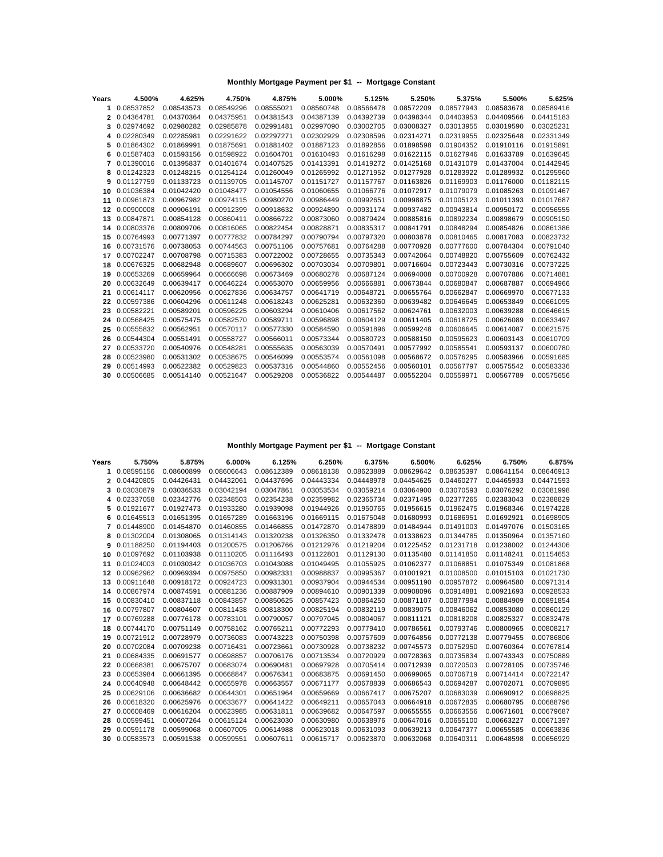| Years | 4.500%     | 4.625%     | 4.750%     | 4.875%     | 5.000%     | 5.125%     | 5.250%     | 5.375%     | 5.500%     | 5.625%     |
|-------|------------|------------|------------|------------|------------|------------|------------|------------|------------|------------|
| 1     | 0.08537852 | 0.08543573 | 0.08549296 | 0.08555021 | 0.08560748 | 0.08566478 | 0.08572209 | 0.08577943 | 0.08583678 | 0.08589416 |
| 2     | 0.04364781 | 0.04370364 | 0.04375951 | 0.04381543 | 0.04387139 | 0.04392739 | 0.04398344 | 0.04403953 | 0.04409566 | 0.04415183 |
| 3     | 0.02974692 | 0.02980282 | 0.02985878 | 0.02991481 | 0.02997090 | 0.03002705 | 0.03008327 | 0.03013955 | 0.03019590 | 0.03025231 |
| 4     | 0.02280349 | 0.02285981 | 0.02291622 | 0.02297271 | 0.02302929 | 0.02308596 | 0.02314271 | 0.02319955 | 0.02325648 | 0.02331349 |
| 5     | 0.01864302 | 0.01869991 | 0.01875691 | 0.01881402 | 0.01887123 | 0.01892856 | 0.01898598 | 0.01904352 | 0.01910116 | 0.01915891 |
| 6     | 0.01587403 | 0.01593156 | 0.01598922 | 0.01604701 | 0.01610493 | 0.01616298 | 0.01622115 | 0.01627946 | 0.01633789 | 0.01639645 |
|       | 0.01390016 | 0.01395837 | 0.01401674 | 0.01407525 | 0.01413391 | 0.01419272 | 0.01425168 | 0.01431079 | 0.01437004 | 0.01442945 |
| 8     | 0.01242323 | 0.01248215 | 0.01254124 | 0.01260049 | 0.01265992 | 0.01271952 | 0.01277928 | 0.01283922 | 0.01289932 | 0.01295960 |
| 9     | 0.01127759 | 0.01133723 | 0.01139705 | 0.01145707 | 0.01151727 | 0.01157767 | 0.01163826 | 0.01169903 | 0.01176000 | 0.01182115 |
| 10    | 0.01036384 | 0.01042420 | 0.01048477 | 0.01054556 | 0.01060655 | 0.01066776 | 0.01072917 | 0.01079079 | 0.01085263 | 0.01091467 |
| 11    | 0.00961873 | 0.00967982 | 0.00974115 | 0.00980270 | 0.00986449 | 0.00992651 | 0.00998875 | 0.01005123 | 0.01011393 | 0.01017687 |
| 12    | 0.00900008 | 0.00906191 | 0.00912399 | 0.00918632 | 0.00924890 | 0.00931174 | 0.00937482 | 0.00943814 | 0.00950172 | 0.00956555 |
| 13    | 0.00847871 | 0.00854128 | 0.00860411 | 0.00866722 | 0.00873060 | 0.00879424 | 0.00885816 | 0.00892234 | 0.00898679 | 0.00905150 |
| 14    | 0.00803376 | 0.00809706 | 0.00816065 | 0.00822454 | 0.00828871 | 0.00835317 | 0.00841791 | 0.00848294 | 0.00854826 | 0.00861386 |
| 15    | 0.00764993 | 0.00771397 | 0.00777832 | 0.00784297 | 0.00790794 | 0.00797320 | 0.00803878 | 0.00810465 | 0.00817083 | 0.00823732 |
| 16    | 0.00731576 | 0.00738053 | 0.00744563 | 0.00751106 | 0.00757681 | 0.00764288 | 0.00770928 | 0.00777600 | 0.00784304 | 0.00791040 |
| 17    | 0.00702247 | 0.00708798 | 0.00715383 | 0.00722002 | 0.00728655 | 0.00735343 | 0.00742064 | 0.00748820 | 0.00755609 | 0.00762432 |
| 18    | 0.00676325 | 0.00682948 | 0.00689607 | 0.00696302 | 0.00703034 | 0.00709801 | 0.00716604 | 0.00723443 | 0.00730316 | 0.00737225 |
| 19    | 0.00653269 | 0.00659964 | 0.00666698 | 0.00673469 | 0.00680278 | 0.00687124 | 0.00694008 | 0.00700928 | 0.00707886 | 0.00714881 |
| 20    | 0.00632649 | 0.00639417 | 0.00646224 | 0.00653070 | 0.00659956 | 0.00666881 | 0.00673844 | 0.00680847 | 0.00687887 | 0.00694966 |
| 21    | 0.00614117 | 0.00620956 | 0.00627836 | 0.00634757 | 0.00641719 | 0.00648721 | 0.00655764 | 0.00662847 | 0.00669970 | 0.00677133 |
| 22    | 0.00597386 | 0.00604296 | 0.00611248 | 0.00618243 | 0.00625281 | 0.00632360 | 0.00639482 | 0.00646645 | 0.00653849 | 0.00661095 |
| 23    | 0.00582221 | 0.00589201 | 0.00596225 | 0.00603294 | 0.00610406 | 0.00617562 | 0.00624761 | 0.00632003 | 0.00639288 | 0.00646615 |
| 24    | 0.00568425 | 0.00575475 | 0.00582570 | 0.00589711 | 0.00596898 | 0.00604129 | 0.00611405 | 0.00618725 | 0.00626089 | 0.00633497 |
| 25    | 0.00555832 | 0.00562951 | 0.00570117 | 0.00577330 | 0.00584590 | 0.00591896 | 0.00599248 | 0.00606645 | 0.00614087 | 0.00621575 |
| 26    | 0.00544304 | 0.00551491 | 0.00558727 | 0.00566011 | 0.00573344 | 0.00580723 | 0.00588150 | 0.00595623 | 0.00603143 | 0.00610709 |
| 27    | 0.00533720 | 0.00540976 | 0.00548281 | 0.00555635 | 0.00563039 | 0.00570491 | 0.00577992 | 0.00585541 | 0.00593137 | 0.00600780 |
| 28    | 0.00523980 | 0.00531302 | 0.00538675 | 0.00546099 | 0.00553574 | 0.00561098 | 0.00568672 | 0.00576295 | 0.00583966 | 0.00591685 |
| 29    | 0.00514993 | 0.00522382 | 0.00529823 | 0.00537316 | 0.00544860 | 0.00552456 | 0.00560101 | 0.00567797 | 0.00575542 | 0.00583336 |
| 30    | 0.00506685 | 0.00514140 | 0.00521647 | 0.00529208 | 0.00536822 | 0.00544487 | 0.00552204 | 0.00559971 | 0.00567789 | 0.00575656 |
|       |            |            |            |            |            |            |            |            |            |            |

| Years | 5.750%        | 5.875%     | 6.000%     | 6.125%     | 6.250%     | 6.375%     | 6.500%     | 6.625%     | 6.750%     | 6.875%     |
|-------|---------------|------------|------------|------------|------------|------------|------------|------------|------------|------------|
| 1.    | 0.08595156    | 0.08600899 | 0.08606643 | 0.08612389 | 0.08618138 | 0.08623889 | 0.08629642 | 0.08635397 | 0.08641154 | 0.08646913 |
|       | 2 0.04420805  | 0.04426431 | 0.04432061 | 0.04437696 | 0.04443334 | 0.04448978 | 0.04454625 | 0.04460277 | 0.04465933 | 0.04471593 |
| 3     | 0.03030879    | 0.03036533 | 0.03042194 | 0.03047861 | 0.03053534 | 0.03059214 | 0.03064900 | 0.03070593 | 0.03076292 | 0.03081998 |
| 4     | 0.02337058    | 0.02342776 | 0.02348503 | 0.02354238 | 0.02359982 | 0.02365734 | 0.02371495 | 0.02377265 | 0.02383043 | 0.02388829 |
| 5     | 0.01921677    | 0.01927473 | 0.01933280 | 0.01939098 | 0.01944926 | 0.01950765 | 0.01956615 | 0.01962475 | 0.01968346 | 0.01974228 |
| 6     | 0.01645513    | 0.01651395 | 0.01657289 | 0.01663196 | 0.01669115 | 0.01675048 | 0.01680993 | 0.01686951 | 0.01692921 | 0.01698905 |
| 7     | 0.01448900    | 0.01454870 | 0.01460855 | 0.01466855 | 0.01472870 | 0.01478899 | 0.01484944 | 0.01491003 | 0.01497076 | 0.01503165 |
|       | 8 0.01302004  | 0.01308065 | 0.01314143 | 0.01320238 | 0.01326350 | 0.01332478 | 0.01338623 | 0.01344785 | 0.01350964 | 0.01357160 |
|       | 9 0.01188250  | 0.01194403 | 0.01200575 | 0.01206766 | 0.01212976 | 0.01219204 | 0.01225452 | 0.01231718 | 0.01238002 | 0.01244306 |
| 10    | 0.01097692    | 0.01103938 | 0.01110205 | 0.01116493 | 0.01122801 | 0.01129130 | 0.01135480 | 0.01141850 | 0.01148241 | 0.01154653 |
| 11    | 0.01024003    | 0.01030342 | 0.01036703 | 0.01043088 | 0.01049495 | 0.01055925 | 0.01062377 | 0.01068851 | 0.01075349 | 0.01081868 |
| 12    | 0.00962962    | 0.00969394 | 0.00975850 | 0.00982331 | 0.00988837 | 0.00995367 | 0.01001921 | 0.01008500 | 0.01015103 | 0.01021730 |
| 13    | 0.00911648    | 0.00918172 | 0.00924723 | 0.00931301 | 0.00937904 | 0.00944534 | 0.00951190 | 0.00957872 | 0.00964580 | 0.00971314 |
| 14    | 0.00867974    | 0.00874591 | 0.00881236 | 0.00887909 | 0.00894610 | 0.00901339 | 0.00908096 | 0.00914881 | 0.00921693 | 0.00928533 |
| 15    | 0.00830410    | 0.00837118 | 0.00843857 | 0.00850625 | 0.00857423 | 0.00864250 | 0.00871107 | 0.00877994 | 0.00884909 | 0.00891854 |
| 16    | 0.00797807    | 0.00804607 | 0.00811438 | 0.00818300 | 0.00825194 | 0.00832119 | 0.00839075 | 0.00846062 | 0.00853080 | 0.00860129 |
| 17    | 0.00769288    | 0.00776178 | 0.00783101 | 0.00790057 | 0.00797045 | 0.00804067 | 0.00811121 | 0.00818208 | 0.00825327 | 0.00832478 |
| 18    | 0.00744170    | 0.00751149 | 0.00758162 | 0.00765211 | 0.00772293 | 0.00779410 | 0.00786561 | 0.00793746 | 0.00800965 | 0.00808217 |
| 19    | 0.00721912    | 0.00728979 | 0.00736083 | 0.00743223 | 0.00750398 | 0.00757609 | 0.00764856 | 0.00772138 | 0.00779455 | 0.00786806 |
| 20    | 0.00702084    | 0.00709238 | 0.00716431 | 0.00723661 | 0.00730928 | 0.00738232 | 0.00745573 | 0.00752950 | 0.00760364 | 0.00767814 |
| 21    | 0.00684335    | 0.00691577 | 0.00698857 | 0.00706176 | 0.00713534 | 0.00720929 | 0.00728363 | 0.00735834 | 0.00743343 | 0.00750889 |
| 22    | 0.00668381    | 0.00675707 | 0.00683074 | 0.00690481 | 0.00697928 | 0.00705414 | 0.00712939 | 0.00720503 | 0.00728105 | 0.00735746 |
| 23    | 0.00653984    | 0.00661395 | 0.00668847 | 0.00676341 | 0.00683875 | 0.00691450 | 0.00699065 | 0.00706719 | 0.00714414 | 0.00722147 |
| 24    | 0.00640948    | 0.00648442 | 0.00655978 | 0.00663557 | 0.00671177 | 0.00678839 | 0.00686543 | 0.00694287 | 0.00702071 | 0.00709895 |
| 25    | 0.00629106    | 0.00636682 | 0.00644301 | 0.00651964 | 0.00659669 | 0.00667417 | 0.00675207 | 0.00683039 | 0.00690912 | 0.00698825 |
| 26    | 0.00618320    | 0.00625976 | 0.00633677 | 0.00641422 | 0.00649211 | 0.00657043 | 0.00664918 | 0.00672835 | 0.00680795 | 0.00688796 |
| 27    | 0.00608469    | 0.00616204 | 0.00623985 | 0.00631811 | 0.00639682 | 0.00647597 | 0.00655555 | 0.00663556 | 0.00671601 | 0.00679687 |
| 28    | 0.00599451    | 0.00607264 | 0.00615124 | 0.00623030 | 0.00630980 | 0.00638976 | 0.00647016 | 0.00655100 | 0.00663227 | 0.00671397 |
| 29    | 0.00591178    | 0.00599068 | 0.00607005 | 0.00614988 | 0.00623018 | 0.00631093 | 0.00639213 | 0.00647377 | 0.00655585 | 0.00663836 |
|       | 30 0.00583573 | 0.00591538 | 0.00599551 | 0.00607611 | 0.00615717 | 0.00623870 | 0.00632068 | 0.00640311 | 0.00648598 | 0.00656929 |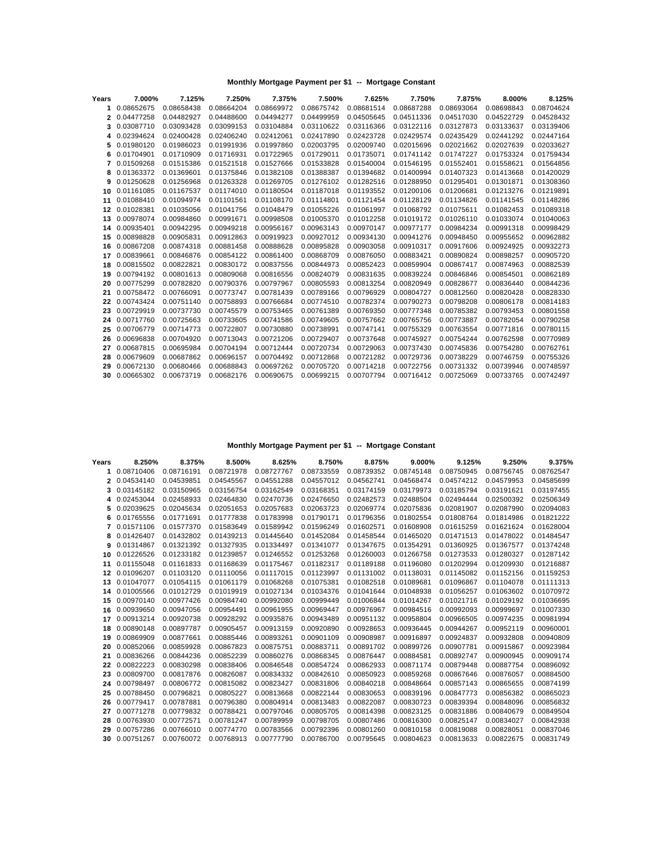| Years | 7.000%     | 7.125%     | 7.250%     | 7.375%     | 7.500%     | 7.625%     | 7.750%     | 7.875%     | 8.000%     | 8.125%     |
|-------|------------|------------|------------|------------|------------|------------|------------|------------|------------|------------|
| 1     | 0.08652675 | 0.08658438 | 0.08664204 | 0.08669972 | 0.08675742 | 0.08681514 | 0.08687288 | 0.08693064 | 0.08698843 | 0.08704624 |
| 2     | 0.04477258 | 0.04482927 | 0.04488600 | 0.04494277 | 0.04499959 | 0.04505645 | 0.04511336 | 0.04517030 | 0.04522729 | 0.04528432 |
| 3     | 0.03087710 | 0.03093428 | 0.03099153 | 0.03104884 | 0.03110622 | 0.03116366 | 0.03122116 | 0.03127873 | 0.03133637 | 0.03139406 |
| 4     | 0.02394624 | 0.02400428 | 0.02406240 | 0.02412061 | 0.02417890 | 0.02423728 | 0.02429574 | 0.02435429 | 0.02441292 | 0.02447164 |
| 5     | 0.01980120 | 0.01986023 | 0.01991936 | 0.01997860 | 0.02003795 | 0.02009740 | 0.02015696 | 0.02021662 | 0.02027639 | 0.02033627 |
| 6     | 0.01704901 | 0.01710909 | 0.01716931 | 0.01722965 | 0.01729011 | 0.01735071 | 0.01741142 | 0.01747227 | 0.01753324 | 0.01759434 |
|       | 0.01509268 | 0.01515386 | 0.01521518 | 0.01527666 | 0.01533828 | 0.01540004 | 0.01546195 | 0.01552401 | 0.01558621 | 0.01564856 |
| 8     | 0.01363372 | 0.01369601 | 0.01375846 | 0.01382108 | 0.01388387 | 0.01394682 | 0.01400994 | 0.01407323 | 0.01413668 | 0.01420029 |
| 9     | 0.01250628 | 0.01256968 | 0.01263328 | 0.01269705 | 0.01276102 | 0.01282516 | 0.01288950 | 0.01295401 | 0.01301871 | 0.01308360 |
| 10    | 0.01161085 | 0.01167537 | 0.01174010 | 0.01180504 | 0.01187018 | 0.01193552 | 0.01200106 | 0.01206681 | 0.01213276 | 0.01219891 |
| 11    | 0.01088410 | 0.01094974 | 0.01101561 | 0.01108170 | 0.01114801 | 0.01121454 | 0.01128129 | 0.01134826 | 0.01141545 | 0.01148286 |
| 12    | 0.01028381 | 0.01035056 | 0.01041756 | 0.01048479 | 0.01055226 | 0.01061997 | 0.01068792 | 0.01075611 | 0.01082453 | 0.01089318 |
| 13    | 0.00978074 | 0.00984860 | 0.00991671 | 0.00998508 | 0.01005370 | 0.01012258 | 0.01019172 | 0.01026110 | 0.01033074 | 0.01040063 |
| 14    | 0.00935401 | 0.00942295 | 0.00949218 | 0.00956167 | 0.00963143 | 0.00970147 | 0.00977177 | 0.00984234 | 0.00991318 | 0.00998429 |
| 15    | 0.00898828 | 0.00905831 | 0.00912863 | 0.00919923 | 0.00927012 | 0.00934130 | 0.00941276 | 0.00948450 | 0.00955652 | 0.00962882 |
| 16    | 0.00867208 | 0.00874318 | 0.00881458 | 0.00888628 | 0.00895828 | 0.00903058 | 0.00910317 | 0.00917606 | 0.00924925 | 0.00932273 |
| 17    | 0.00839661 | 0.00846876 | 0.00854122 | 0.00861400 | 0.00868709 | 0.00876050 | 0.00883421 | 0.00890824 | 0.00898257 | 0.00905720 |
| 18    | 0.00815502 | 0.00822821 | 0.00830172 | 0.00837556 | 0.00844973 | 0.00852423 | 0.00859904 | 0.00867417 | 0.00874963 | 0.00882539 |
| 19    | 0.00794192 | 0.00801613 | 0.00809068 | 0.00816556 | 0.00824079 | 0.00831635 | 0.00839224 | 0.00846846 | 0.00854501 | 0.00862189 |
| 20    | 0.00775299 | 0.00782820 | 0.00790376 | 0.00797967 | 0.00805593 | 0.00813254 | 0.00820949 | 0.00828677 | 0.00836440 | 0.00844236 |
| 21    | 0.00758472 | 0.00766091 | 0.00773747 | 0.00781439 | 0.00789166 | 0.00796929 | 0.00804727 | 0.00812560 | 0.00820428 | 0.00828330 |
| 22    | 0.00743424 | 0.00751140 | 0.00758893 | 0.00766684 | 0.00774510 | 0.00782374 | 0.00790273 | 0.00798208 | 0.00806178 | 0.00814183 |
| 23    | 0.00729919 | 0.00737730 | 0.00745579 | 0.00753465 | 0.00761389 | 0.00769350 | 0.00777348 | 0.00785382 | 0.00793453 | 0.00801558 |
| 24    | 0.00717760 | 0.00725663 | 0.00733605 | 0.00741586 | 0.00749605 | 0.00757662 | 0.00765756 | 0.00773887 | 0.00782054 | 0.00790258 |
| 25    | 0.00706779 | 0.00714773 | 0.00722807 | 0.00730880 | 0.00738991 | 0.00747141 | 0.00755329 | 0.00763554 | 0.00771816 | 0.00780115 |
| 26    | 0.00696838 | 0.00704920 | 0.00713043 | 0.00721206 | 0.00729407 | 0.00737648 | 0.00745927 | 0.00754244 | 0.00762598 | 0.00770989 |
| 27    | 0.00687815 | 0.00695984 | 0.00704194 | 0.00712444 | 0.00720734 | 0.00729063 | 0.00737430 | 0.00745836 | 0.00754280 | 0.00762761 |
| 28    | 0.00679609 | 0.00687862 | 0.00696157 | 0.00704492 | 0.00712868 | 0.00721282 | 0.00729736 | 0.00738229 | 0.00746759 | 0.00755326 |
| 29    | 0.00672130 | 0.00680466 | 0.00688843 | 0.00697262 | 0.00705720 | 0.00714218 | 0.00722756 | 0.00731332 | 0.00739946 | 0.00748597 |
| 30    | 0.00665302 | 0.00673719 | 0.00682176 | 0.00690675 | 0.00699215 | 0.00707794 | 0.00716412 | 0.00725069 | 0.00733765 | 0.00742497 |
|       |            |            |            |            |            |            |            |            |            |            |

| Years | 8.250%        | 8.375%     | 8.500%     | 8.625%     | 8.750%     | 8.875%     | 9.000%     | 9.125%     | 9.250%     | 9.375%     |
|-------|---------------|------------|------------|------------|------------|------------|------------|------------|------------|------------|
| 1     | 0.08710406    | 0.08716191 | 0.08721978 | 0.08727767 | 0.08733559 | 0.08739352 | 0.08745148 | 0.08750945 | 0.08756745 | 0.08762547 |
|       | 2 0.04534140  | 0.04539851 | 0.04545567 | 0.04551288 | 0.04557012 | 0.04562741 | 0.04568474 | 0.04574212 | 0.04579953 | 0.04585699 |
| 3     | 0.03145182    | 0.03150965 | 0.03156754 | 0.03162549 | 0.03168351 | 0.03174159 | 0.03179973 | 0.03185794 | 0.03191621 | 0.03197455 |
| 4     | 0.02453044    | 0.02458933 | 0.02464830 | 0.02470736 | 0.02476650 | 0.02482573 | 0.02488504 | 0.02494444 | 0.02500392 | 0.02506349 |
| 5     | 0.02039625    | 0.02045634 | 0.02051653 | 0.02057683 | 0.02063723 | 0.02069774 | 0.02075836 | 0.02081907 | 0.02087990 | 0.02094083 |
| 6     | 0.01765556    | 0.01771691 | 0.01777838 | 0.01783998 | 0.01790171 | 0.01796356 | 0.01802554 | 0.01808764 | 0.01814986 | 0.01821222 |
|       | 7 0.01571106  | 0.01577370 | 0.01583649 | 0.01589942 | 0.01596249 | 0.01602571 | 0.01608908 | 0.01615259 | 0.01621624 | 0.01628004 |
| 8     | 0.01426407    | 0.01432802 | 0.01439213 | 0.01445640 | 0.01452084 | 0.01458544 | 0.01465020 | 0.01471513 | 0.01478022 | 0.01484547 |
| 9     | 0.01314867    | 0.01321392 | 0.01327935 | 0.01334497 | 0.01341077 | 0.01347675 | 0.01354291 | 0.01360925 | 0.01367577 | 0.01374248 |
| 10    | 0.01226526    | 0.01233182 | 0.01239857 | 0.01246552 | 0.01253268 | 0.01260003 | 0.01266758 | 0.01273533 | 0.01280327 | 0.01287142 |
| 11    | 0.01155048    | 0.01161833 | 0.01168639 | 0.01175467 | 0.01182317 | 0.01189188 | 0.01196080 | 0.01202994 | 0.01209930 | 0.01216887 |
| 12    | 0.01096207    | 0.01103120 | 0.01110056 | 0.01117015 | 0.01123997 | 0.01131002 | 0.01138031 | 0.01145082 | 0.01152156 | 0.01159253 |
| 13    | 0.01047077    | 0.01054115 | 0.01061179 | 0.01068268 | 0.01075381 | 0.01082518 | 0.01089681 | 0.01096867 | 0.01104078 | 0.01111313 |
| 14    | 0.01005566    | 0.01012729 | 0.01019919 | 0.01027134 | 0.01034376 | 0.01041644 | 0.01048938 | 0.01056257 | 0.01063602 | 0.01070972 |
| 15    | 0.00970140    | 0.00977426 | 0.00984740 | 0.00992080 | 0.00999449 | 0.01006844 | 0.01014267 | 0.01021716 | 0.01029192 | 0.01036695 |
| 16    | 0.00939650    | 0.00947056 | 0.00954491 | 0.00961955 | 0.00969447 | 0.00976967 | 0.00984516 | 0.00992093 | 0.00999697 | 0.01007330 |
| 17    | 0.00913214    | 0.00920738 | 0.00928292 | 0.00935876 | 0.00943489 | 0.00951132 | 0.00958804 | 0.00966505 | 0.00974235 | 0.00981994 |
| 18    | 0.00890148    | 0.00897787 | 0.00905457 | 0.00913159 | 0.00920890 | 0.00928653 | 0.00936445 | 0.00944267 | 0.00952119 | 0.00960001 |
| 19    | 0.00869909    | 0.00877661 | 0.00885446 | 0.00893261 | 0.00901109 | 0.00908987 | 0.00916897 | 0.00924837 | 0.00932808 | 0.00940809 |
| 20    | 0.00852066    | 0.00859928 | 0.00867823 | 0.00875751 | 0.00883711 | 0.00891702 | 0.00899726 | 0.00907781 | 0.00915867 | 0.00923984 |
| 21    | 0.00836266    | 0.00844236 | 0.00852239 | 0.00860276 | 0.00868345 | 0.00876447 | 0.00884581 | 0.00892747 | 0.00900945 | 0.00909174 |
| 22    | 0.00822223    | 0.00830298 | 0.00838406 | 0.00846548 | 0.00854724 | 0.00862933 | 0.00871174 | 0.00879448 | 0.00887754 | 0.00896092 |
| 23    | 0.00809700    | 0.00817876 | 0.00826087 | 0.00834332 | 0.00842610 | 0.00850923 | 0.00859268 | 0.00867646 | 0.00876057 | 0.00884500 |
| 24    | 0.00798497    | 0.00806772 | 0.00815082 | 0.00823427 | 0.00831806 | 0.00840218 | 0.00848664 | 0.00857143 | 0.00865655 | 0.00874199 |
| 25    | 0.00788450    | 0.00796821 | 0.00805227 | 0.00813668 | 0.00822144 | 0.00830653 | 0.00839196 | 0.00847773 | 0.00856382 | 0.00865023 |
| 26    | 0.00779417    | 0.00787881 | 0.00796380 | 0.00804914 | 0.00813483 | 0.00822087 | 0.00830723 | 0.00839394 | 0.00848096 | 0.00856832 |
| 27    | 0.00771278    | 0.00779832 | 0.00788421 | 0.00797046 | 0.00805705 | 0.00814398 | 0.00823125 | 0.00831886 | 0.00840679 | 0.00849504 |
| 28    | 0.00763930    | 0.00772571 | 0.00781247 | 0.00789959 | 0.00798705 | 0.00807486 | 0.00816300 | 0.00825147 | 0.00834027 | 0.00842938 |
| 29    | 0.00757286    | 0.00766010 | 0.00774770 | 0.00783566 | 0.00792396 | 0.00801260 | 0.00810158 | 0.00819088 | 0.00828051 | 0.00837046 |
|       | 30 0.00751267 | 0.00760072 | 0.00768913 | 0.00777790 | 0.00786700 | 0.00795645 | 0.00804623 | 0.00813633 | 0.00822675 | 0.00831749 |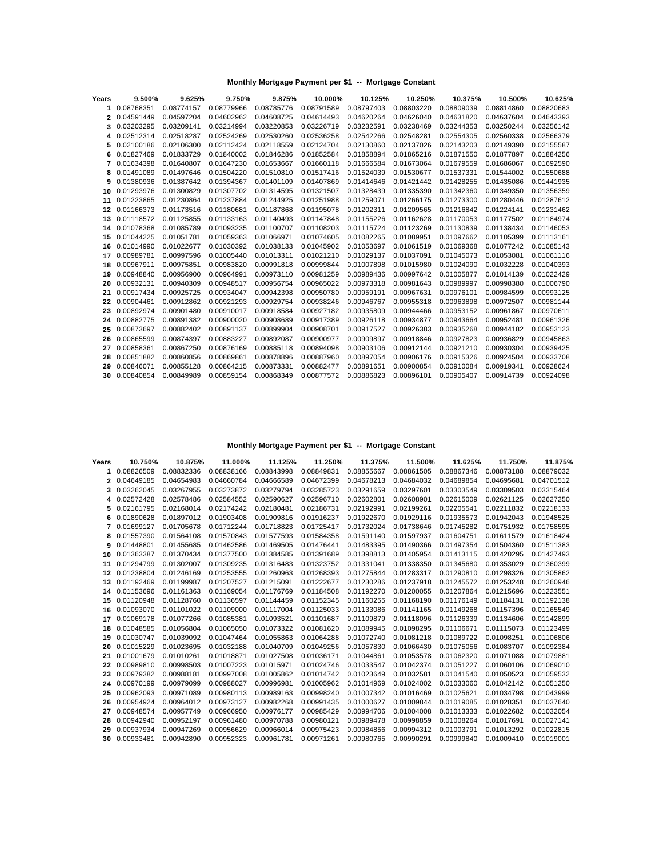| Years | 9.500%     | 9.625%     | 9.750%     | 9.875%     | 10.000%    | 10.125%    | 10.250%    | 10.375%    | 10.500%    | 10.625%    |
|-------|------------|------------|------------|------------|------------|------------|------------|------------|------------|------------|
| 1     | 0.08768351 | 0.08774157 | 0.08779966 | 0.08785776 | 0.08791589 | 0.08797403 | 0.08803220 | 0.08809039 | 0.08814860 | 0.08820683 |
| 2     | 0.04591449 | 0.04597204 | 0.04602962 | 0.04608725 | 0.04614493 | 0.04620264 | 0.04626040 | 0.04631820 | 0.04637604 | 0.04643393 |
| 3     | 0.03203295 | 0.03209141 | 0.03214994 | 0.03220853 | 0.03226719 | 0.03232591 | 0.03238469 | 0.03244353 | 0.03250244 | 0.03256142 |
| 4     | 0.02512314 | 0.02518287 | 0.02524269 | 0.02530260 | 0.02536258 | 0.02542266 | 0.02548281 | 0.02554305 | 0.02560338 | 0.02566379 |
| 5     | 0.02100186 | 0.02106300 | 0.02112424 | 0.02118559 | 0.02124704 | 0.02130860 | 0.02137026 | 0.02143203 | 0.02149390 | 0.02155587 |
| 6     | 0.01827469 | 0.01833729 | 0.01840002 | 0.01846286 | 0.01852584 | 0.01858894 | 0.01865216 | 0.01871550 | 0.01877897 | 0.01884256 |
|       | 0.01634398 | 0.01640807 | 0.01647230 | 0.01653667 | 0.01660118 | 0.01666584 | 0.01673064 | 0.01679559 | 0.01686067 | 0.01692590 |
| 8     | 0.01491089 | 0.01497646 | 0.01504220 | 0.01510810 | 0.01517416 | 0.01524039 | 0.01530677 | 0.01537331 | 0.01544002 | 0.01550688 |
| 9     | 0.01380936 | 0.01387642 | 0.01394367 | 0.01401109 | 0.01407869 | 0.01414646 | 0.01421442 | 0.01428255 | 0.01435086 | 0.01441935 |
| 10    | 0.01293976 | 0.01300829 | 0.01307702 | 0.01314595 | 0.01321507 | 0.01328439 | 0.01335390 | 0.01342360 | 0.01349350 | 0.01356359 |
| 11    | 0.01223865 | 0.01230864 | 0.01237884 | 0.01244925 | 0.01251988 | 0.01259071 | 0.01266175 | 0.01273300 | 0.01280446 | 0.01287612 |
| 12    | 0.01166373 | 0.01173516 | 0.01180681 | 0.01187868 | 0.01195078 | 0.01202311 | 0.01209565 | 0.01216842 | 0.01224141 | 0.01231462 |
| 13    | 0.01118572 | 0.01125855 | 0.01133163 | 0.01140493 | 0.01147848 | 0.01155226 | 0.01162628 | 0.01170053 | 0.01177502 | 0.01184974 |
| 14    | 0.01078368 | 0.01085789 | 0.01093235 | 0.01100707 | 0.01108203 | 0.01115724 | 0.01123269 | 0.01130839 | 0.01138434 | 0.01146053 |
| 15    | 0.01044225 | 0.01051781 | 0.01059363 | 0.01066971 | 0.01074605 | 0.01082265 | 0.01089951 | 0.01097662 | 0.01105399 | 0.01113161 |
| 16    | 0.01014990 | 0.01022677 | 0.01030392 | 0.01038133 | 0.01045902 | 0.01053697 | 0.01061519 | 0.01069368 | 0.01077242 | 0.01085143 |
| 17    | 0.00989781 | 0.00997596 | 0.01005440 | 0.01013311 | 0.01021210 | 0.01029137 | 0.01037091 | 0.01045073 | 0.01053081 | 0.01061116 |
| 18    | 0.00967911 | 0.00975851 | 0.00983820 | 0.00991818 | 0.00999844 | 0.01007898 | 0.01015980 | 0.01024090 | 0.01032228 | 0.01040393 |
| 19    | 0.00948840 | 0.00956900 | 0.00964991 | 0.00973110 | 0.00981259 | 0.00989436 | 0.00997642 | 0.01005877 | 0.01014139 | 0.01022429 |
| 20    | 0.00932131 | 0.00940309 | 0.00948517 | 0.00956754 | 0.00965022 | 0.00973318 | 0.00981643 | 0.00989997 | 0.00998380 | 0.01006790 |
| 21    | 0.00917434 | 0.00925725 | 0.00934047 | 0.00942398 | 0.00950780 | 0.00959191 | 0.00967631 | 0.00976101 | 0.00984599 | 0.00993125 |
| 22    | 0.00904461 | 0.00912862 | 0.00921293 | 0.00929754 | 0.00938246 | 0.00946767 | 0.00955318 | 0.00963898 | 0.00972507 | 0.00981144 |
| 23    | 0.00892974 | 0.00901480 | 0.00910017 | 0.00918584 | 0.00927182 | 0.00935809 | 0.00944466 | 0.00953152 | 0.00961867 | 0.00970611 |
| 24    | 0.00882775 | 0.00891382 | 0.00900020 | 0.00908689 | 0.00917389 | 0.00926118 | 0.00934877 | 0.00943664 | 0.00952481 | 0.00961326 |
| 25    | 0.00873697 | 0.00882402 | 0.00891137 | 0.00899904 | 0.00908701 | 0.00917527 | 0.00926383 | 0.00935268 | 0.00944182 | 0.00953123 |
| 26    | 0.00865599 | 0.00874397 | 0.00883227 | 0.00892087 | 0.00900977 | 0.00909897 | 0.00918846 | 0.00927823 | 0.00936829 | 0.00945863 |
| 27    | 0.00858361 | 0.00867250 | 0.00876169 | 0.00885118 | 0.00894098 | 0.00903106 | 0.00912144 | 0.00921210 | 0.00930304 | 0.00939425 |
| 28    | 0.00851882 | 0.00860856 | 0.00869861 | 0.00878896 | 0.00887960 | 0.00897054 | 0.00906176 | 0.00915326 | 0.00924504 | 0.00933708 |
| 29    | 0.00846071 | 0.00855128 | 0.00864215 | 0.00873331 | 0.00882477 | 0.00891651 | 0.00900854 | 0.00910084 | 0.00919341 | 0.00928624 |
| 30    | 0.00840854 | 0.00849989 | 0.00859154 | 0.00868349 | 0.00877572 | 0.00886823 | 0.00896101 | 0.00905407 | 0.00914739 | 0.00924098 |
|       |            |            |            |            |            |            |            |            |            |            |

| Years | 10.750%       | 10.875%    | 11.000%    | 11.125%    | 11.250%    | 11.375%    | 11.500%    | 11.625%    | 11.750%    | 11.875%    |
|-------|---------------|------------|------------|------------|------------|------------|------------|------------|------------|------------|
| 1.    | 0.08826509    | 0.08832336 | 0.08838166 | 0.08843998 | 0.08849831 | 0.08855667 | 0.08861505 | 0.08867346 | 0.08873188 | 0.08879032 |
|       | 2 0.04649185  | 0.04654983 | 0.04660784 | 0.04666589 | 0.04672399 | 0.04678213 | 0.04684032 | 0.04689854 | 0.04695681 | 0.04701512 |
|       | 3 0.03262045  | 0.03267955 | 0.03273872 | 0.03279794 | 0.03285723 | 0.03291659 | 0.03297601 | 0.03303549 | 0.03309503 | 0.03315464 |
| 4     | 0.02572428    | 0.02578486 | 0.02584552 | 0.02590627 | 0.02596710 | 0.02602801 | 0.02608901 | 0.02615009 | 0.02621125 | 0.02627250 |
| 5     | 0.02161795    | 0.02168014 | 0.02174242 | 0.02180481 | 0.02186731 | 0.02192991 | 0.02199261 | 0.02205541 | 0.02211832 | 0.02218133 |
| 6     | 0.01890628    | 0.01897012 | 0.01903408 | 0.01909816 | 0.01916237 | 0.01922670 | 0.01929116 | 0.01935573 | 0.01942043 | 0.01948525 |
|       | 7 0.01699127  | 0.01705678 | 0.01712244 | 0.01718823 | 0.01725417 | 0.01732024 | 0.01738646 | 0.01745282 | 0.01751932 | 0.01758595 |
|       | 8 0.01557390  | 0.01564108 | 0.01570843 | 0.01577593 | 0.01584358 | 0.01591140 | 0.01597937 | 0.01604751 | 0.01611579 | 0.01618424 |
|       | 9 0.01448801  | 0.01455685 | 0.01462586 | 0.01469505 | 0.01476441 | 0.01483395 | 0.01490366 | 0.01497354 | 0.01504360 | 0.01511383 |
| 10    | 0.01363387    | 0.01370434 | 0.01377500 | 0.01384585 | 0.01391689 | 0.01398813 | 0.01405954 | 0.01413115 | 0.01420295 | 0.01427493 |
| 11    | 0.01294799    | 0.01302007 | 0.01309235 | 0.01316483 | 0.01323752 | 0.01331041 | 0.01338350 | 0.01345680 | 0.01353029 | 0.01360399 |
| 12    | 0.01238804    | 0.01246169 | 0.01253555 | 0.01260963 | 0.01268393 | 0.01275844 | 0.01283317 | 0.01290810 | 0.01298326 | 0.01305862 |
| 13    | 0.01192469    | 0.01199987 | 0.01207527 | 0.01215091 | 0.01222677 | 0.01230286 | 0.01237918 | 0.01245572 | 0.01253248 | 0.01260946 |
|       | 14 0.01153696 | 0.01161363 | 0.01169054 | 0.01176769 | 0.01184508 | 0.01192270 | 0.01200055 | 0.01207864 | 0.01215696 | 0.01223551 |
| 15    | 0.01120948    | 0.01128760 | 0.01136597 | 0.01144459 | 0.01152345 | 0.01160255 | 0.01168190 | 0.01176149 | 0.01184131 | 0.01192138 |
| 16    | 0.01093070    | 0.01101022 | 0.01109000 | 0.01117004 | 0.01125033 | 0.01133086 | 0.01141165 | 0.01149268 | 0.01157396 | 0.01165549 |
| 17    | 0.01069178    | 0.01077266 | 0.01085381 | 0.01093521 | 0.01101687 | 0.01109879 | 0.01118096 | 0.01126339 | 0.01134606 | 0.01142899 |
| 18    | 0.01048585    | 0.01056804 | 0.01065050 | 0.01073322 | 0.01081620 | 0.01089945 | 0.01098295 | 0.01106671 | 0.01115073 | 0.01123499 |
| 19    | 0.01030747    | 0.01039092 | 0.01047464 | 0.01055863 | 0.01064288 | 0.01072740 | 0.01081218 | 0.01089722 | 0.01098251 | 0.01106806 |
| 20    | 0.01015229    | 0.01023695 | 0.01032188 | 0.01040709 | 0.01049256 | 0.01057830 | 0.01066430 | 0.01075056 | 0.01083707 | 0.01092384 |
| 21    | 0.01001679    | 0.01010261 | 0.01018871 | 0.01027508 | 0.01036171 | 0.01044861 | 0.01053578 | 0.01062320 | 0.01071088 | 0.01079881 |
| 22    | 0.00989810    | 0.00998503 | 0.01007223 | 0.01015971 | 0.01024746 | 0.01033547 | 0.01042374 | 0.01051227 | 0.01060106 | 0.01069010 |
| 23    | 0.00979382    | 0.00988181 | 0.00997008 | 0.01005862 | 0.01014742 | 0.01023649 | 0.01032581 | 0.01041540 | 0.01050523 | 0.01059532 |
|       | 24 0.00970199 | 0.00979099 | 0.00988027 | 0.00996981 | 0.01005962 | 0.01014969 | 0.01024002 | 0.01033060 | 0.01042142 | 0.01051250 |
| 25    | 0.00962093    | 0.00971089 | 0.00980113 | 0.00989163 | 0.00998240 | 0.01007342 | 0.01016469 | 0.01025621 | 0.01034798 | 0.01043999 |
| 26    | 0.00954924    | 0.00964012 | 0.00973127 | 0.00982268 | 0.00991435 | 0.01000627 | 0.01009844 | 0.01019085 | 0.01028351 | 0.01037640 |
| 27    | 0.00948574    | 0.00957749 | 0.00966950 | 0.00976177 | 0.00985429 | 0.00994706 | 0.01004008 | 0.01013333 | 0.01022682 | 0.01032054 |
| 28    | 0.00942940    | 0.00952197 | 0.00961480 | 0.00970788 | 0.00980121 | 0.00989478 | 0.00998859 | 0.01008264 | 0.01017691 | 0.01027141 |
| 29    | 0.00937934    | 0.00947269 | 0.00956629 | 0.00966014 | 0.00975423 | 0.00984856 | 0.00994312 | 0.01003791 | 0.01013292 | 0.01022815 |
|       | 30 0.00933481 | 0.00942890 | 0.00952323 | 0.00961781 | 0.00971261 | 0.00980765 | 0.00990291 | 0.00999840 | 0.01009410 | 0.01019001 |